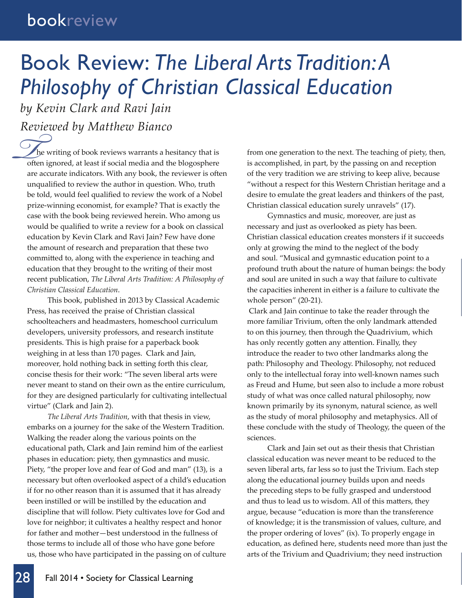## Book Review: *The Liberal Arts Tradition: A Philosophy of Christian Classical Education*

*by Kevin Clark and Ravi Jain*

*Reviewed by Matthew Bianco*

Reviewed by Matthew Bianco<br>The writing of book reviews warrants a hesitancy that is often ignored, at least if social media and the blogosphere are accurate indicators. With any book, the reviewer is often unqualified to review the author in question. Who, truth be told, would feel qualified to review the work of a Nobel prize-winning economist, for example? That is exactly the case with the book being reviewed herein. Who among us would be qualified to write a review for a book on classical education by Kevin Clark and Ravi Jain? Few have done the amount of research and preparation that these two committed to, along with the experience in teaching and education that they brought to the writing of their most recent publication, The Liberal Arts Tradition: A Philosophy of *Christian Classical Education*.

This book, published in 2013 by Classical Academic Press, has received the praise of Christian classical schoolteachers and headmasters, homeschool curriculum developers, university professors, and research institute presidents. This is high praise for a paperback book weighing in at less than 170 pages. Clark and Jain, moreover, hold nothing back in setting forth this clear, concise thesis for their work: "The seven liberal arts were never meant to stand on their own as the entire curriculum, for they are designed particularly for cultivating intellectual virtue" (Clark and Jain 2).

*The Liberal Arts Tradition*, with that thesis in view, embarks on a journey for the sake of the Western Tradition. Walking the reader along the various points on the educational path, Clark and Jain remind him of the earliest phases in education: piety, then gymnastics and music. Piety, "the proper love and fear of God and man" (13), is a necessary but often overlooked aspect of a child's education if for no other reason than it is assumed that it has already been instilled or will be instilled by the education and discipline that will follow. Piety cultivates love for God and love for neighbor; it cultivates a healthy respect and honor for father and mother-best understood in the fullness of those terms to include all of those who have gone before us, those who have participated in the passing on of culture from one generation to the next. The teaching of piety, then, is accomplished, in part, by the passing on and reception of the very tradition we are striving to keep alive, because "without a respect for this Western Christian heritage and a desire to emulate the great leaders and thinkers of the past, Christian classical education surely unravels" (17).

Gymnastics and music, moreover, are just as necessary and just as overlooked as piety has been. Christian classical education creates monsters if it succeeds only at growing the mind to the neglect of the body and soul. "Musical and gymnastic education point to a profound truth about the nature of human beings: the body and soul are united in such a way that failure to cultivate the capacities inherent in either is a failure to cultivate the whole person"  $(20-21)$ .

Clark and Jain continue to take the reader through the more familiar Trivium, often the only landmark attended to on this journey, then through the Quadrivium, which has only recently gotten any attention. Finally, they introduce the reader to two other landmarks along the path: Philosophy and Theology. Philosophy, not reduced only to the intellectual foray into well-known names such as Freud and Hume, but seen also to include a more robust study of what was once called natural philosophy, now known primarily by its synonym, natural science, as well as the study of moral philosophy and metaphysics. All of these conclude with the study of Theology, the queen of the sciences.

Clark and Jain set out as their thesis that Christian classical education was never meant to be reduced to the seven liberal arts, far less so to just the Trivium. Each step along the educational journey builds upon and needs the preceding steps to be fully grasped and understood and thus to lead us to wisdom. All of this matters, they argue, because "education is more than the transference of knowledge; it is the transmission of values, culture, and the proper ordering of loves" (ix). To properly engage in education, as defined here, students need more than just the arts of the Trivium and Quadrivium; they need instruction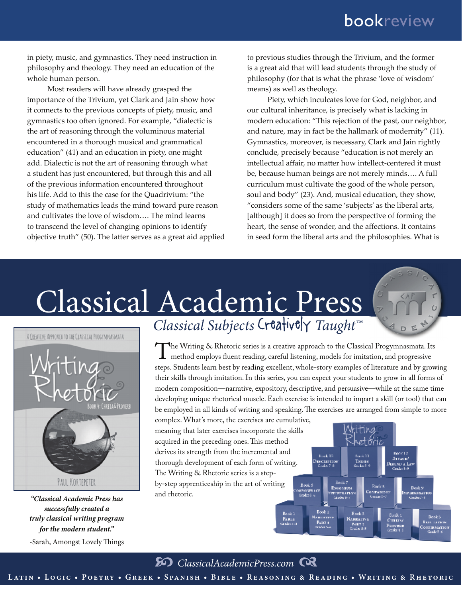in piety, music, and gymnastics. They need instruction in philosophy and theology. They need an education of the whole human person.

Most readers will have already grasped the importance of the Trivium, yet Clark and Jain show how it connects to the previous concepts of piety, music, and gymnastics too often ignored. For example, "dialectic is the art of reasoning through the voluminous material encountered in a thorough musical and grammatical education" (41) and an education in piety, one might add. Dialectic is not the art of reasoning through what a student has just encountered, but through this and all of the previous information encountered throughout his life. Add to this the case for the Quadrivium: "the study of mathematics leads the mind toward pure reason and cultivates the love of wisdom.... The mind learns to transcend the level of changing opinions to identify objective truth" (50). The latter serves as a great aid applied to previous studies through the Trivium, and the former is a great aid that will lead students through the study of philosophy (for that is what the phrase 'love of wisdom' means) as well as theology.

Piety, which inculcates love for God, neighbor, and our cultural inheritance, is precisely what is lacking in modern education: "This rejection of the past, our neighbor, and nature, may in fact be the hallmark of modernity" (11). Gymnastics, moreover, is necessary, Clark and Jain rightly conclude, precisely because "education is not merely an intellectual affair, no matter how intellect-centered it must be, because human beings are not merely minds.... A full curriculum must cultivate the good of the whole person, soul and body" (23). And, musical education, they show, "considers some of the same 'subjects' as the liberal arts, [although] it does so from the perspective of forming the heart, the sense of wonder, and the affections. It contains in seed form the liberal arts and the philosophies. What is





and rhetoric. **"Classical Academic Press has successfully created a truly classical writing program for the modern student."** -Sarah, Amongst Lovely Things

The Writing & Rhetoric series is a creative approach to the Classical Progymnasmata. Its<br>method employs fluent reading, careful listening, models for imitation, and progressive  $\blacksquare$  method employs fluent reading, careful listening, models for imitation, and progressive steps. Students learn best by reading excellent, whole-story examples of literature and by growing their skills through imitation. In this series, you can expect your students to grow in all forms of modern composition—narrative, expository, descriptive, and persuasive—while at the same time developing unique rhetorical muscle. Each exercise is intended to impart a skill (or tool) that can be employed in all kinds of writing and speaking. The exercises are arranged from simple to more complex. What's more, the exercises are cumulative,

meaning that later exercises incorporate the skills acquired in the preceding ones. This method derives its strength from the incremental and thorough development of each form of writing. The Writing & Rhetoric series is a stepby-step apprenticeship in the art of writing



 $50$  ClassicalAcademicPress.com